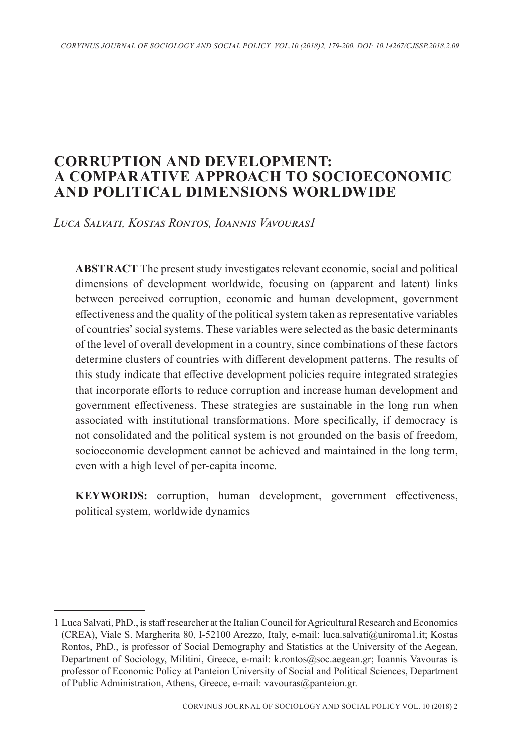# **CORRUPTION AND DEVELOPMENT: A COMPARATIVE APPROACH TO SOCIOECONOMIC AND POLITICAL DIMENSIONS WORLDWIDE**

*Luca Salvati, Kostas Rontos, Ioannis Vavouras1*

**ABSTRACT** The present study investigates relevant economic, social and political dimensions of development worldwide, focusing on (apparent and latent) links between perceived corruption, economic and human development, government effectiveness and the quality of the political system taken as representative variables of countries' social systems. These variables were selected as the basic determinants of the level of overall development in a country, since combinations of these factors determine clusters of countries with different development patterns. The results of this study indicate that effective development policies require integrated strategies that incorporate efforts to reduce corruption and increase human development and government effectiveness. These strategies are sustainable in the long run when associated with institutional transformations. More specifically, if democracy is not consolidated and the political system is not grounded on the basis of freedom, socioeconomic development cannot be achieved and maintained in the long term, even with a high level of per-capita income.

**KEYWORDS:** corruption, human development, government effectiveness, political system, worldwide dynamics

<sup>1</sup> Luca Salvati, PhD., is staff researcher at the Italian Council for Agricultural Research and Economics (CREA), Viale S. Margherita 80, I-52100 Arezzo, Italy, e-mail: luca.salvati@uniroma1.it; Kostas Rontos, PhD., is professor of Social Demography and Statistics at the University of the Aegean, Department of Sociology, Militini, Greece, e-mail: k.rontos@soc.aegean.gr; Ioannis Vavouras is professor of Economic Policy at Panteion University of Social and Political Sciences, Department of Public Administration, Athens, Greece, e-mail: vavouras@panteion.gr.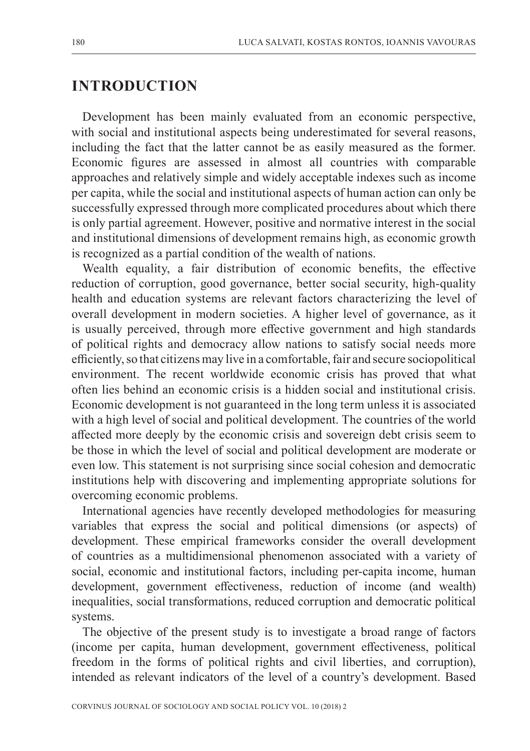## **INTRODUCTION**

Development has been mainly evaluated from an economic perspective, with social and institutional aspects being underestimated for several reasons, including the fact that the latter cannot be as easily measured as the former. Economic figures are assessed in almost all countries with comparable approaches and relatively simple and widely acceptable indexes such as income per capita, while the social and institutional aspects of human action can only be successfully expressed through more complicated procedures about which there is only partial agreement. However, positive and normative interest in the social and institutional dimensions of development remains high, as economic growth is recognized as a partial condition of the wealth of nations.

Wealth equality, a fair distribution of economic benefits, the effective reduction of corruption, good governance, better social security, high-quality health and education systems are relevant factors characterizing the level of overall development in modern societies. A higher level of governance, as it is usually perceived, through more effective government and high standards of political rights and democracy allow nations to satisfy social needs more efficiently, so that citizens may live in a comfortable, fair and secure sociopolitical environment. The recent worldwide economic crisis has proved that what often lies behind an economic crisis is a hidden social and institutional crisis. Economic development is not guaranteed in the long term unless it is associated with a high level of social and political development. The countries of the world affected more deeply by the economic crisis and sovereign debt crisis seem to be those in which the level of social and political development are moderate or even low. This statement is not surprising since social cohesion and democratic institutions help with discovering and implementing appropriate solutions for overcoming economic problems.

International agencies have recently developed methodologies for measuring variables that express the social and political dimensions (or aspects) of development. These empirical frameworks consider the overall development of countries as a multidimensional phenomenon associated with a variety of social, economic and institutional factors, including per-capita income, human development, government effectiveness, reduction of income (and wealth) inequalities, social transformations, reduced corruption and democratic political systems.

The objective of the present study is to investigate a broad range of factors (income per capita, human development, government effectiveness, political freedom in the forms of political rights and civil liberties, and corruption), intended as relevant indicators of the level of a country's development. Based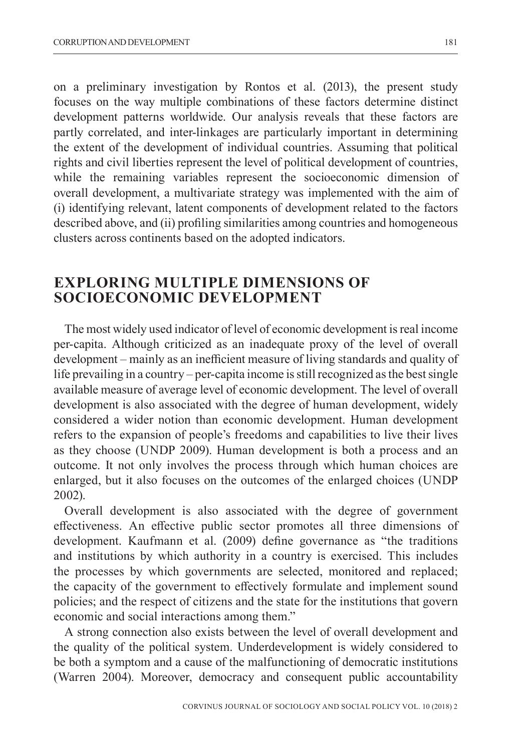on a preliminary investigation by Rontos et al. (2013), the present study focuses on the way multiple combinations of these factors determine distinct development patterns worldwide. Our analysis reveals that these factors are partly correlated, and inter-linkages are particularly important in determining the extent of the development of individual countries. Assuming that political rights and civil liberties represent the level of political development of countries, while the remaining variables represent the socioeconomic dimension of overall development, a multivariate strategy was implemented with the aim of (i) identifying relevant, latent components of development related to the factors described above, and (ii) profiling similarities among countries and homogeneous clusters across continents based on the adopted indicators.

## **EXPLORING MULTIPLE DIMENSIONS OF SOCIOECONOMIC DEVELOPMENT**

The most widely used indicator of level of economic development is real income per-capita. Although criticized as an inadequate proxy of the level of overall development – mainly as an inefficient measure of living standards and quality of life prevailing in a country – per-capita income is still recognized as the best single available measure of average level of economic development. The level of overall development is also associated with the degree of human development, widely considered a wider notion than economic development. Human development refers to the expansion of people's freedoms and capabilities to live their lives as they choose (UNDP 2009). Human development is both a process and an outcome. It not only involves the process through which human choices are enlarged, but it also focuses on the outcomes of the enlarged choices (UNDP 2002).

Overall development is also associated with the degree of government effectiveness. An effective public sector promotes all three dimensions of development. Kaufmann et al. (2009) define governance as "the traditions and institutions by which authority in a country is exercised. This includes the processes by which governments are selected, monitored and replaced; the capacity of the government to effectively formulate and implement sound policies; and the respect of citizens and the state for the institutions that govern economic and social interactions among them."

A strong connection also exists between the level of overall development and the quality of the political system. Underdevelopment is widely considered to be both a symptom and a cause of the malfunctioning of democratic institutions (Warren 2004). Moreover, democracy and consequent public accountability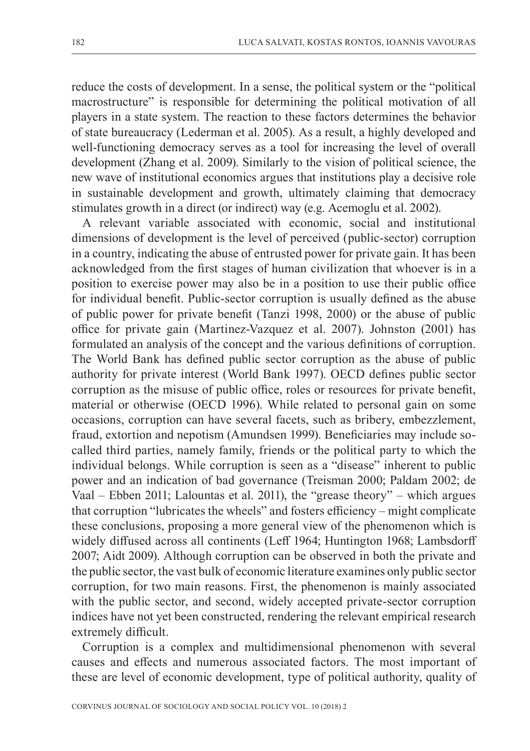reduce the costs of development. In a sense, the political system or the "political macrostructure" is responsible for determining the political motivation of all players in a state system. The reaction to these factors determines the behavior of state bureaucracy (Lederman et al. 2005). As a result, a highly developed and well-functioning democracy serves as a tool for increasing the level of overall development (Zhang et al. 2009). Similarly to the vision of political science, the new wave of institutional economics argues that institutions play a decisive role in sustainable development and growth, ultimately claiming that democracy stimulates growth in a direct (or indirect) way (e.g. Acemoglu et al. 2002).

A relevant variable associated with economic, social and institutional dimensions of development is the level of perceived (public-sector) corruption in a country, indicating the abuse of entrusted power for private gain. It has been acknowledged from the first stages of human civilization that whoever is in a position to exercise power may also be in a position to use their public office for individual benefit. Public-sector corruption is usually defined as the abuse of public power for private benefit (Tanzi 1998, 2000) or the abuse of public office for private gain (Martinez-Vazquez et al. 2007). Johnston (2001) has formulated an analysis of the concept and the various definitions of corruption. The World Bank has defined public sector corruption as the abuse of public authority for private interest (World Bank 1997). OECD defines public sector corruption as the misuse of public office, roles or resources for private benefit, material or otherwise (OECD 1996). While related to personal gain on some occasions, corruption can have several facets, such as bribery, embezzlement, fraud, extortion and nepotism (Amundsen 1999). Beneficiaries may include socalled third parties, namely family, friends or the political party to which the individual belongs. While corruption is seen as a "disease" inherent to public power and an indication of bad governance (Treisman 2000; Paldam 2002; de Vaal – Ebben 2011; Lalountas et al. 2011), the "grease theory" – which argues that corruption "lubricates the wheels" and fosters efficiency – might complicate these conclusions, proposing a more general view of the phenomenon which is widely diffused across all continents (Leff 1964; Huntington 1968; Lambsdorff 2007; Aidt 2009). Although corruption can be observed in both the private and the public sector, the vast bulk of economic literature examines only public sector corruption, for two main reasons. First, the phenomenon is mainly associated with the public sector, and second, widely accepted private-sector corruption indices have not yet been constructed, rendering the relevant empirical research extremely difficult.

Corruption is a complex and multidimensional phenomenon with several causes and effects and numerous associated factors. The most important of these are level of economic development, type of political authority, quality of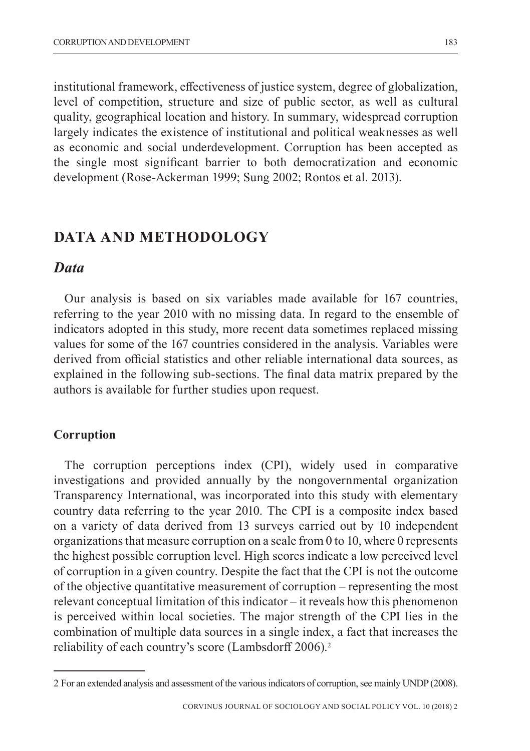institutional framework, effectiveness of justice system, degree of globalization, level of competition, structure and size of public sector, as well as cultural quality, geographical location and history. In summary, widespread corruption largely indicates the existence of institutional and political weaknesses as well as economic and social underdevelopment. Corruption has been accepted as the single most significant barrier to both democratization and economic development (Rose-Ackerman 1999; Sung 2002; Rontos et al. 2013).

### **DATA AND METHODOLOGY**

### *Data*

Our analysis is based on six variables made available for 167 countries, referring to the year 2010 with no missing data. In regard to the ensemble of indicators adopted in this study, more recent data sometimes replaced missing values for some of the 167 countries considered in the analysis. Variables were derived from official statistics and other reliable international data sources, as explained in the following sub-sections. The final data matrix prepared by the authors is available for further studies upon request.

#### **Corruption**

The corruption perceptions index (CPI), widely used in comparative investigations and provided annually by the nongovernmental organization Transparency International, was incorporated into this study with elementary country data referring to the year 2010. The CPI is a composite index based on a variety of data derived from 13 surveys carried out by 10 independent organizations that measure corruption on a scale from 0 to 10, where 0 represents the highest possible corruption level. High scores indicate a low perceived level of corruption in a given country. Despite the fact that the CPI is not the outcome of the objective quantitative measurement of corruption – representing the most relevant conceptual limitation of this indicator – it reveals how this phenomenon is perceived within local societies. The major strength of the CPI lies in the combination of multiple data sources in a single index, a fact that increases the reliability of each country's score (Lambsdorff 2006).<sup>2</sup>

<sup>2</sup> For an extended analysis and assessment of the various indicators of corruption, see mainly UNDP (2008).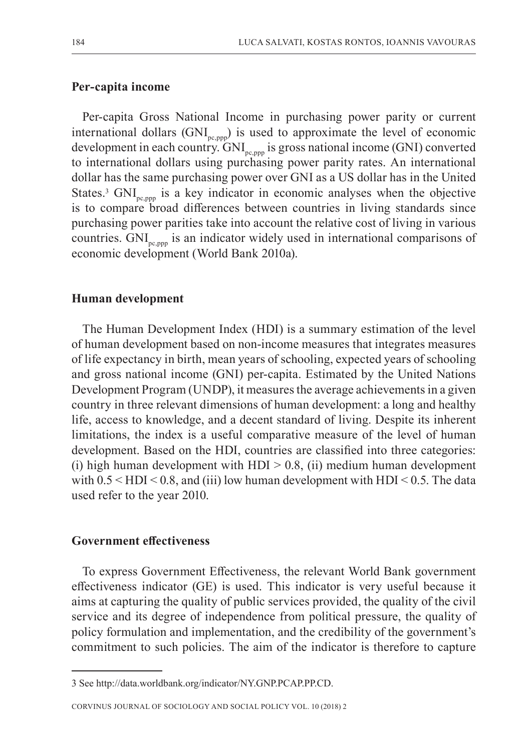#### **Per-capita income**

Per-capita Gross National Income in purchasing power parity or current international dollars  $(GNI_{p_{\text{c}},p_{\text{mp}}})$  is used to approximate the level of economic development in each country.  $GNI_{p_{\text{c},\text{non}}}$  is gross national income (GNI) converted to international dollars using purchasing power parity rates. An international dollar has the same purchasing power over GNI as a US dollar has in the United States.<sup>3</sup> GNI<sub>pc,ppp</sub> is a key indicator in economic analyses when the objective is to compare broad differences between countries in living standards since purchasing power parities take into account the relative cost of living in various countries. GNI<sub>pc,ppp</sub> is an indicator widely used in international comparisons of economic development (World Bank 2010a).

#### **Human development**

The Human Development Index (HDI) is a summary estimation of the level of human development based on non-income measures that integrates measures of life expectancy in birth, mean years of schooling, expected years of schooling and gross national income (GNI) per-capita. Estimated by the United Nations Development Program (UNDP), it measures the average achievements in a given country in three relevant dimensions of human development: a long and healthy life, access to knowledge, and a decent standard of living. Despite its inherent limitations, the index is a useful comparative measure of the level of human development. Based on the HDI, countries are classified into three categories: (i) high human development with  $HDI > 0.8$ , (ii) medium human development with  $0.5 \leq HDI \leq 0.8$ , and (iii) low human development with  $HDI \leq 0.5$ . The data used refer to the year 2010.

#### **Government effectiveness**

To express Government Effectiveness, the relevant World Bank government effectiveness indicator (GE) is used. This indicator is very useful because it aims at capturing the quality of public services provided, the quality of the civil service and its degree of independence from political pressure, the quality of policy formulation and implementation, and the credibility of the government's commitment to such policies. The aim of the indicator is therefore to capture

<sup>3</sup> See http://data.worldbank.org/indicator/NY.GNP.PCAP.PP.CD.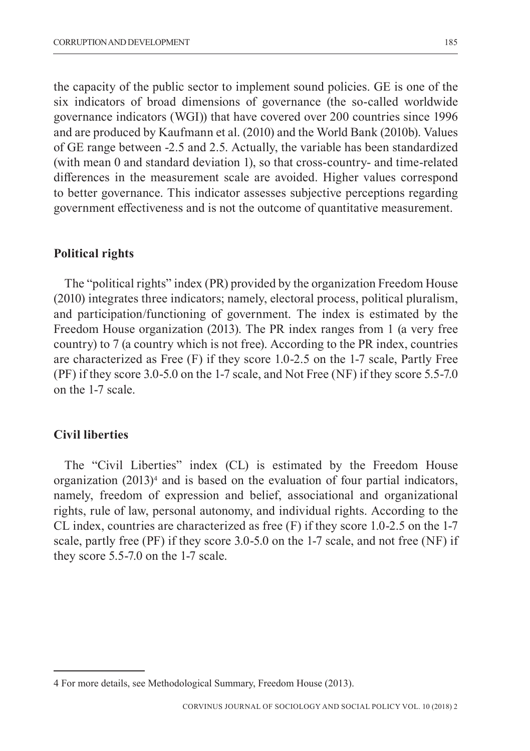the capacity of the public sector to implement sound policies. GE is one of the six indicators of broad dimensions of governance (the so-called worldwide governance indicators (WGI)) that have covered over 200 countries since 1996 and are produced by Kaufmann et al. (2010) and the World Bank (2010b). Values of GE range between -2.5 and 2.5. Actually, the variable has been standardized (with mean 0 and standard deviation 1), so that cross-country- and time-related differences in the measurement scale are avoided. Higher values correspond to better governance. This indicator assesses subjective perceptions regarding government effectiveness and is not the outcome of quantitative measurement.

#### **Political rights**

The "political rights" index (PR) provided by the organization Freedom House (2010) integrates three indicators; namely, electoral process, political pluralism, and participation/functioning of government. The index is estimated by the Freedom House organization (2013). The PR index ranges from 1 (a very free country) to 7 (a country which is not free). According to the PR index, countries are characterized as Free (F) if they score 1.0-2.5 on the 1-7 scale, Partly Free (PF) if they score 3.0-5.0 on the 1-7 scale, and Not Free (NF) if they score 5.5-7.0 on the 1-7 scale.

#### **Civil liberties**

The "Civil Liberties" index (CL) is estimated by the Freedom House organization (2013)4 and is based on the evaluation of four partial indicators, namely, freedom of expression and belief, associational and organizational rights, rule of law, personal autonomy, and individual rights. According to the CL index, countries are characterized as free (F) if they score 1.0-2.5 on the 1-7 scale, partly free (PF) if they score 3.0-5.0 on the 1-7 scale, and not free (NF) if they score 5.5-7.0 on the 1-7 scale.

<sup>4</sup> For more details, see Methodological Summary, Freedom House (2013).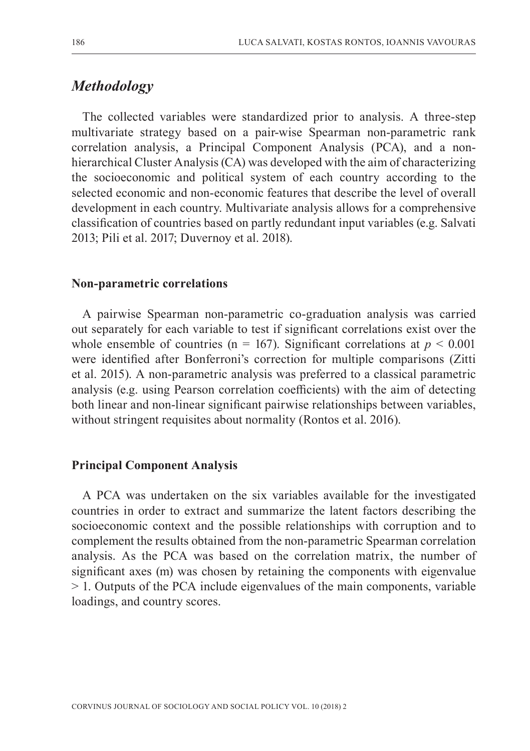# *Methodology*

The collected variables were standardized prior to analysis. A three-step multivariate strategy based on a pair-wise Spearman non-parametric rank correlation analysis, a Principal Component Analysis (PCA), and a nonhierarchical Cluster Analysis (CA) was developed with the aim of characterizing the socioeconomic and political system of each country according to the selected economic and non-economic features that describe the level of overall development in each country. Multivariate analysis allows for a comprehensive classification of countries based on partly redundant input variables (e.g. Salvati 2013; Pili et al. 2017; Duvernoy et al. 2018).

#### **Non-parametric correlations**

A pairwise Spearman non-parametric co-graduation analysis was carried out separately for each variable to test if significant correlations exist over the whole ensemble of countries ( $n = 167$ ). Significant correlations at  $p \le 0.001$ were identified after Bonferroni's correction for multiple comparisons (Zitti et al. 2015). A non-parametric analysis was preferred to a classical parametric analysis (e.g. using Pearson correlation coefficients) with the aim of detecting both linear and non-linear significant pairwise relationships between variables, without stringent requisites about normality (Rontos et al. 2016).

#### **Principal Component Analysis**

A PCA was undertaken on the six variables available for the investigated countries in order to extract and summarize the latent factors describing the socioeconomic context and the possible relationships with corruption and to complement the results obtained from the non-parametric Spearman correlation analysis. As the PCA was based on the correlation matrix, the number of significant axes (m) was chosen by retaining the components with eigenvalue > 1. Outputs of the PCA include eigenvalues of the main components, variable loadings, and country scores.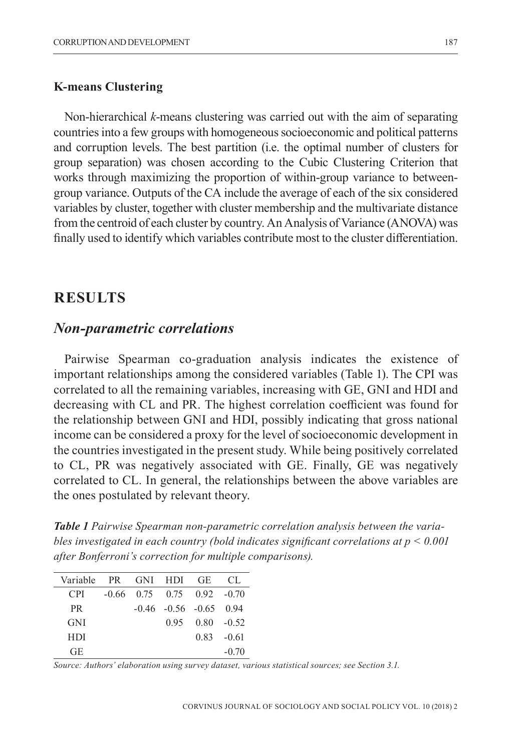#### **K-means Clustering**

Non-hierarchical *k*-means clustering was carried out with the aim of separating countries into a few groups with homogeneous socioeconomic and political patterns and corruption levels. The best partition (i.e. the optimal number of clusters for group separation) was chosen according to the Cubic Clustering Criterion that works through maximizing the proportion of within-group variance to betweengroup variance. Outputs of the CA include the average of each of the six considered variables by cluster, together with cluster membership and the multivariate distance from the centroid of each cluster by country. An Analysis of Variance (ANOVA) was finally used to identify which variables contribute most to the cluster differentiation.

### **RESULTS**

### *Non-parametric correlations*

Pairwise Spearman co-graduation analysis indicates the existence of important relationships among the considered variables (Table 1). The CPI was correlated to all the remaining variables, increasing with GE, GNI and HDI and decreasing with CL and PR. The highest correlation coefficient was found for the relationship between GNI and HDI, possibly indicating that gross national income can be considered a proxy for the level of socioeconomic development in the countries investigated in the present study. While being positively correlated to CL, PR was negatively associated with GE. Finally, GE was negatively correlated to CL. In general, the relationships between the above variables are the ones postulated by relevant theory.

*Table 1 Pairwise Spearman non-parametric correlation analysis between the variables investigated in each country (bold indicates significant correlations at p < 0.001 after Bonferroni's correction for multiple comparisons).*

| Variable   | PR GNI HDI GE |                                |                       | - CL          |
|------------|---------------|--------------------------------|-----------------------|---------------|
| CPI.       |               | $-0.66$ 0.75 0.75 0.92 $-0.70$ |                       |               |
| <b>PR</b>  |               | $-0.46$ $-0.56$ $-0.65$ 0.94   |                       |               |
| <b>GNI</b> |               |                                | $0.95$ $0.80$ $-0.52$ |               |
| <b>HDI</b> |               |                                |                       | $0.83 - 0.61$ |
| GE         |               |                                |                       | $-0.70$       |

*Source: Authors' elaboration using survey dataset, various statistical sources; see Section 3.1.*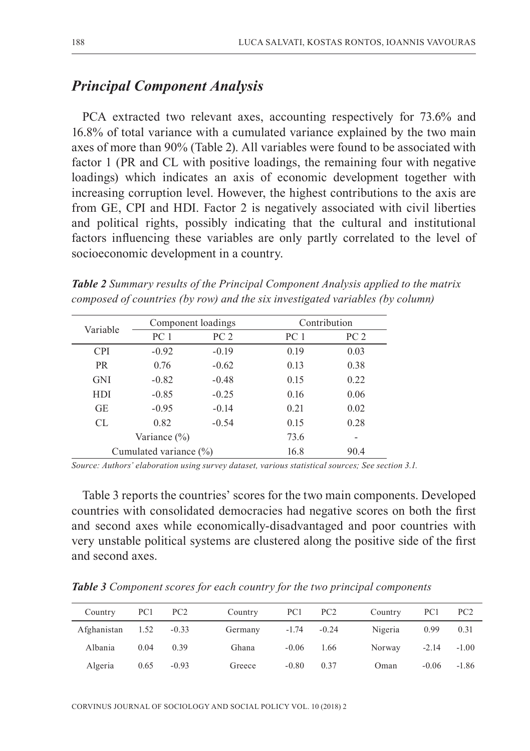## *Principal Component Analysis*

PCA extracted two relevant axes, accounting respectively for 73.6% and 16.8% of total variance with a cumulated variance explained by the two main axes of more than 90% (Table 2). All variables were found to be associated with factor 1 (PR and CL with positive loadings, the remaining four with negative loadings) which indicates an axis of economic development together with increasing corruption level. However, the highest contributions to the axis are from GE, CPI and HDI. Factor 2 is negatively associated with civil liberties and political rights, possibly indicating that the cultural and institutional factors influencing these variables are only partly correlated to the level of socioeconomic development in a country.

*Table 2 Summary results of the Principal Component Analysis applied to the matrix composed of countries (by row) and the six investigated variables (by column)*

| Variable   |                        | Component loadings | Contribution    |                 |  |
|------------|------------------------|--------------------|-----------------|-----------------|--|
|            | PC 1                   | PC <sub>2</sub>    | PC <sub>1</sub> | PC <sub>2</sub> |  |
| <b>CPI</b> | $-0.92$                | $-0.19$            | 0.19            | 0.03            |  |
| <b>PR</b>  | 0.76                   | $-0.62$            | 0.13            | 0.38            |  |
| <b>GNI</b> | $-0.82$                | $-0.48$            | 0.15            | 0.22            |  |
| HDI        | $-0.85$                | $-0.25$            | 0.16            | 0.06            |  |
| <b>GE</b>  | $-0.95$                | $-0.14$            | 0.21            | 0.02            |  |
| CL.        | 0.82                   | $-0.54$            | 0.15            | 0.28            |  |
|            | Variance $(\% )$       |                    | 73.6            | -               |  |
|            | Cumulated variance (%) |                    | 16.8            | 90.4            |  |

*Source: Authors' elaboration using survey dataset, various statistical sources; See section 3.1.*

Table 3 reports the countries' scores for the two main components. Developed countries with consolidated democracies had negative scores on both the first and second axes while economically-disadvantaged and poor countries with very unstable political systems are clustered along the positive side of the first and second axes.

| Country          | PC1  | PC <sub>2</sub> | Country | PC1     | PC <sub>2</sub> | Country | PC1     | PC <sub>2</sub> |
|------------------|------|-----------------|---------|---------|-----------------|---------|---------|-----------------|
| Afghanistan 1.52 |      | $-0.33$         | Germany |         | $-1.74 - 0.24$  | Nigeria | 0.99    | 0.31            |
| Albania          | 0.04 | 0.39            | Ghana   | $-0.06$ | 1.66            | Norway  | $-2.14$ | $-1.00$         |
| Algeria          | 0.65 | $-0.93$         | Greece  | $-0.80$ | 0.37            | Oman    | $-0.06$ | $-1.86$         |

*Table 3 Component scores for each country for the two principal components*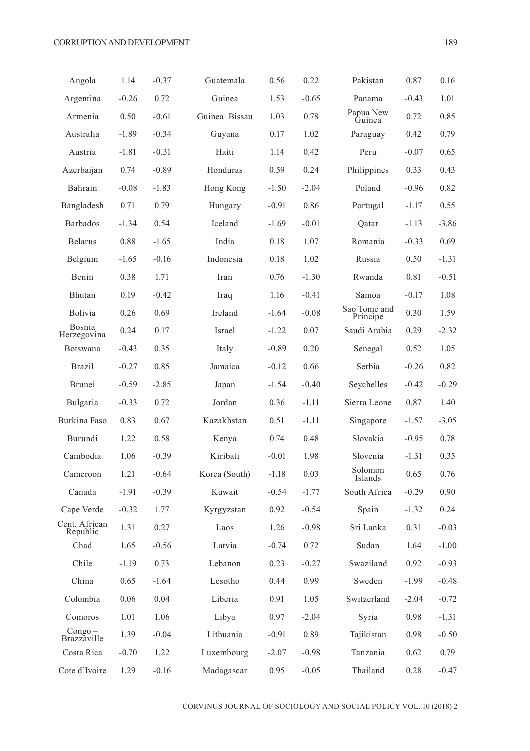| Angola                    | 1.14    | $-0.37$ | Guatemala     | 0.56    | 0.22    | Pakistan                 | 0.87    | 0.16    |
|---------------------------|---------|---------|---------------|---------|---------|--------------------------|---------|---------|
| Argentina                 | $-0.26$ | 0.72    | Guinea        | 1.53    | $-0.65$ | Panama                   | $-0.43$ | 1.01    |
| Armenia                   | 0.50    | $-0.61$ | Guinea-Bissau | 1.03    | 0.78    | Papua New<br>Guinea      | 0.72    | 0.85    |
| Australia                 | $-1.89$ | $-0.34$ | Guyana        | 0.17    | 1.02    | Paraguay                 | 0.42    | 0.79    |
| Austria                   | $-1.81$ | $-0.31$ | Haiti         | 1.14    | 0.42    | Peru                     | $-0.07$ | 0.65    |
| Azerbaijan                | 0.74    | $-0.89$ | Honduras      | 0.59    | 0.24    | Philippines              | 0.33    | 0.43    |
| Bahrain                   | $-0.08$ | $-1.83$ | Hong Kong     | $-1.50$ | $-2.04$ | Poland                   | $-0.96$ | 0.82    |
| Bangladesh                | 0.71    | 0.79    | Hungary       | $-0.91$ | 0.86    | Portugal                 | $-1.17$ | 0.55    |
| Barbados                  | $-1.34$ | 0.54    | Iceland       | $-1.69$ | $-0.01$ | Qatar                    | $-1.13$ | $-3.86$ |
| <b>Belarus</b>            | 0.88    | $-1.65$ | India         | 0.18    | 1.07    | Romania                  | $-0.33$ | 0.69    |
| Belgium                   | $-1.65$ | $-0.16$ | Indonesia     | 0.18    | 1.02    | Russia                   | 0.50    | $-1.31$ |
| Benin                     | 0.38    | 1.71    | Iran          | 0.76    | $-1.30$ | Rwanda                   | 0.81    | $-0.51$ |
| Bhutan                    | 0.19    | $-0.42$ | Iraq          | 1.16    | $-0.41$ | Samoa                    | $-0.17$ | 1.08    |
| <b>Bolivia</b>            | 0.26    | 0.69    | Ireland       | $-1.64$ | $-0.08$ | Sao Tome and<br>Principe | 0.30    | 1.59    |
| Bosnia<br>Herzegovina     | 0.24    | 0.17    | Israel        | $-1.22$ | 0.07    | Saudi Arabia             | 0.29    | $-2.32$ |
| Botswana                  | $-0.43$ | 0.35    | Italy         | $-0.89$ | 0.20    | Senegal                  | 0.52    | 1.05    |
| Brazil                    | $-0.27$ | 0.85    | Jamaica       | $-0.12$ | 0.66    | Serbia                   | $-0.26$ | 0.82    |
| Brunei                    | $-0.59$ | $-2.85$ | Japan         | $-1.54$ | $-0.40$ | Seychelles               | $-0.42$ | $-0.29$ |
| Bulgaria                  | $-0.33$ | 0.72    | Jordan        | 0.36    | $-1.11$ | Sierra Leone             | 0.87    | 1.40    |
| Burkina Faso              | 0.83    | 0.67    | Kazakhstan    | 0.51    | $-1.11$ | Singapore                | $-1.57$ | $-3.05$ |
| Burundi                   | 1.22    | 0.58    | Kenya         | 0.74    | 0.48    | Slovakia                 | $-0.95$ | 0.78    |
| Cambodia                  | 1.06    | $-0.39$ | Kiribati      | $-0.01$ | 1.98    | Slovenia                 | $-1.31$ | 0.35    |
| Cameroon                  | 1.21    | $-0.64$ | Korea (South) | $-1.18$ | 0.03    | Solomon<br>Islands       | 0.65    | 0.76    |
| Canada                    | $-1.91$ | $-0.39$ | Kuwait        | $-0.54$ | $-1.77$ | South Africa             | $-0.29$ | 0.90    |
| Cape Verde                | $-0.32$ | 1.77    | Kyrgyzstan    | 0.92    | $-0.54$ | Spain                    | $-1.32$ | 0.24    |
| Cent. African<br>Republic | 1.31    | 0.27    | Laos          | 1.26    | $-0.98$ | Sri Lanka                | 0.31    | $-0.03$ |
| Chad                      | 1.65    | $-0.56$ | Latvia        | $-0.74$ | 0.72    | Sudan                    | 1.64    | $-1.00$ |
| Chile                     | $-1.19$ | 0.73    | Lebanon       | 0.23    | $-0.27$ | Swaziland                | 0.92    | $-0.93$ |
| China                     | 0.65    | -1.64   | Lesotho       | 0.44    | 0.99    | Sweden                   | -1.99   | $-0.48$ |
| Colombia                  | 0.06    | 0.04    | Liberia       | 0.91    | 1.05    | Switzerland              | $-2.04$ | $-0.72$ |
| Comoros                   | 1.01    | 1.06    | Libya         | 0.97    | $-2.04$ | Syria                    | 0.98    | $-1.31$ |
| $Congo -$<br>Brazzaville  | 1.39    | $-0.04$ | Lithuania     | $-0.91$ | 0.89    | Tajikistan               | 0.98    | $-0.50$ |
| Costa Rica                | $-0.70$ | 1.22    | Luxembourg    | $-2.07$ | $-0.98$ | Tanzania                 | 0.62    | 0.79    |
| Cote d'Ivoire             | 1.29    | $-0.16$ | Madagascar    | 0.95    | $-0.05$ | Thailand                 | 0.28    | $-0.47$ |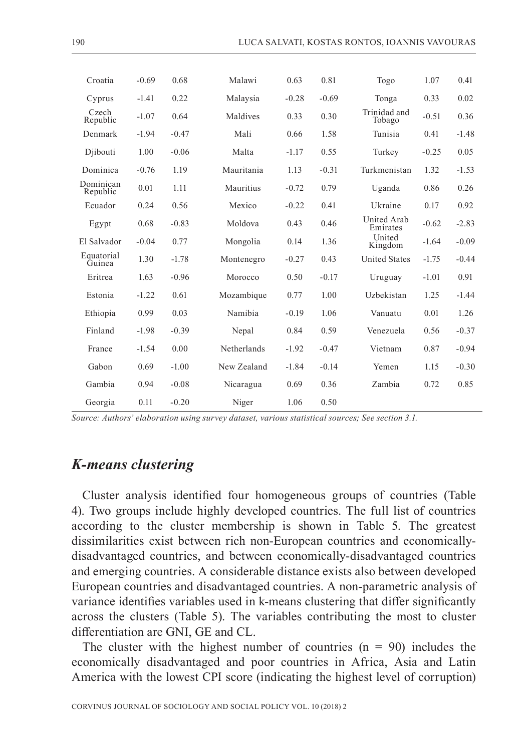| Croatia               | $-0.69$ | 0.68    | Malawi      | 0.63    | 0.81    | Togo                    | 1.07    | 0.41    |
|-----------------------|---------|---------|-------------|---------|---------|-------------------------|---------|---------|
| Cyprus                | $-1.41$ | 0.22    | Malaysia    | $-0.28$ | $-0.69$ | Tonga                   | 0.33    | 0.02    |
| Czech<br>Republic     | $-1.07$ | 0.64    | Maldives    | 0.33    | 0.30    | Trinidad and<br>Tobago  | $-0.51$ | 0.36    |
| Denmark               | $-1.94$ | $-0.47$ | Mali        | 0.66    | 1.58    | Tunisia                 | 0.41    | $-1.48$ |
| Djibouti              | 1.00    | $-0.06$ | Malta       | $-1.17$ | 0.55    | Turkey                  | $-0.25$ | 0.05    |
| Dominica              | $-0.76$ | 1.19    | Mauritania  | 1.13    | $-0.31$ | Turkmenistan            | 1.32    | $-1.53$ |
| Dominican<br>Republic | 0.01    | 1.11    | Mauritius   | $-0.72$ | 0.79    | Uganda                  | 0.86    | 0.26    |
| Ecuador               | 0.24    | 0.56    | Mexico      | $-0.22$ | 0.41    | Ukraine                 | 0.17    | 0.92    |
| Egypt                 | 0.68    | $-0.83$ | Moldova     | 0.43    | 0.46    | United Arab<br>Emirates | $-0.62$ | $-2.83$ |
| El Salvador           | $-0.04$ | 0.77    | Mongolia    | 0.14    | 1.36    | United<br>Kingdom       | $-1.64$ | $-0.09$ |
| Equatorial<br>Guinea  | 1.30    | $-1.78$ | Montenegro  | $-0.27$ | 0.43    | <b>United States</b>    | $-1.75$ | $-0.44$ |
| Eritrea               | 1.63    | $-0.96$ | Morocco     | 0.50    | $-0.17$ | Uruguay                 | $-1.01$ | 0.91    |
| Estonia               | $-1.22$ | 0.61    | Mozambique  | 0.77    | 1.00    | Uzbekistan              | 1.25    | $-1.44$ |
| Ethiopia              | 0.99    | 0.03    | Namibia     | $-0.19$ | 1.06    | Vanuatu                 | 0.01    | 1.26    |
| Finland               | $-1.98$ | $-0.39$ | Nepal       | 0.84    | 0.59    | Venezuela               | 0.56    | $-0.37$ |
| France                | $-1.54$ | 0.00    | Netherlands | $-1.92$ | $-0.47$ | Vietnam                 | 0.87    | $-0.94$ |
| Gabon                 | 0.69    | $-1.00$ | New Zealand | $-1.84$ | $-0.14$ | Yemen                   | 1.15    | $-0.30$ |
| Gambia                | 0.94    | $-0.08$ | Nicaragua   | 0.69    | 0.36    | Zambia                  | 0.72    | 0.85    |
| Georgia               | 0.11    | $-0.20$ | Niger       | 1.06    | 0.50    |                         |         |         |

*Source: Authors' elaboration using survey dataset, various statistical sources; See section 3.1.*

## *K-means clustering*

Cluster analysis identified four homogeneous groups of countries (Table 4). Two groups include highly developed countries. The full list of countries according to the cluster membership is shown in Table 5. The greatest dissimilarities exist between rich non-European countries and economicallydisadvantaged countries, and between economically-disadvantaged countries and emerging countries. A considerable distance exists also between developed European countries and disadvantaged countries. A non-parametric analysis of variance identifies variables used in k-means clustering that differ significantly across the clusters (Table 5). The variables contributing the most to cluster differentiation are GNI, GE and CL.

The cluster with the highest number of countries  $(n = 90)$  includes the economically disadvantaged and poor countries in Africa, Asia and Latin America with the lowest CPI score (indicating the highest level of corruption)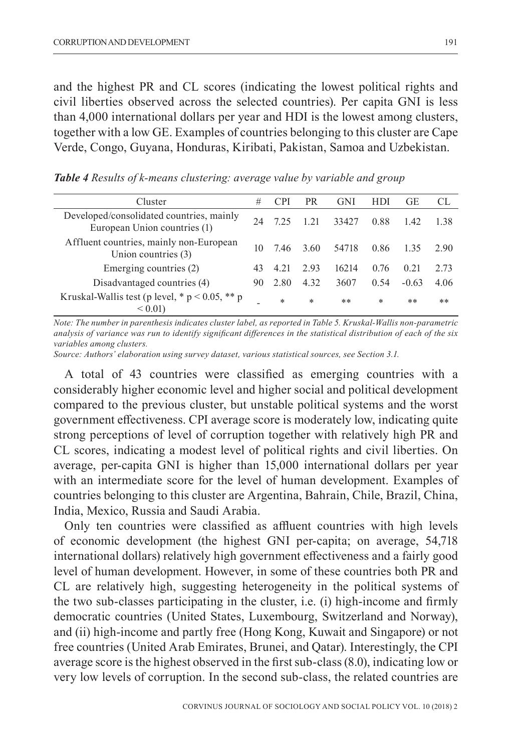and the highest PR and CL scores (indicating the lowest political rights and civil liberties observed across the selected countries). Per capita GNI is less than 4,000 international dollars per year and HDI is the lowest among clusters, together with a low GE. Examples of countries belonging to this cluster are Cape Verde, Congo, Guyana, Honduras, Kiribati, Pakistan, Samoa and Uzbekistan.

| Cluster                                                                  | #  | CPI  | PR     | GNI   | HDI  | GE      | CL.  |
|--------------------------------------------------------------------------|----|------|--------|-------|------|---------|------|
| Developed/consolidated countries, mainly<br>European Union countries (1) | 24 | 7.25 | 1.21   | 33427 | 0.88 | 1.42    | 1.38 |
| Affluent countries, mainly non-European<br>Union countries (3)           | 10 | 7.46 | 3.60   | 54718 | 0.86 | 1.35    | 2.90 |
| Emerging countries (2)                                                   | 43 | 4.21 | 2.93   | 16214 | 0.76 | 0.21    | 2.73 |
| Disadvantaged countries (4)                                              | 90 | 2.80 | 4.32   | 3607  | 0.54 | $-0.63$ | 4.06 |
| Kruskal-Wallis test (p level, $* p < 0.05$ , $** p$<br>${}_{\leq 0.015}$ |    | *    | $\ast$ | **    | *    | **      | **   |

*Table 4 Results of k-means clustering: average value by variable and group*

*Note: The number in parenthesis indicates cluster label, as reported in Table 5. Kruskal-Wallis non-parametric analysis of variance was run to identify significant differences in the statistical distribution of each of the six variables among clusters.*

*Source: Authors' elaboration using survey dataset, various statistical sources, see Section 3.1.*

A total of 43 countries were classified as emerging countries with a considerably higher economic level and higher social and political development compared to the previous cluster, but unstable political systems and the worst government effectiveness. CPI average score is moderately low, indicating quite strong perceptions of level of corruption together with relatively high PR and CL scores, indicating a modest level of political rights and civil liberties. On average, per-capita GNI is higher than 15,000 international dollars per year with an intermediate score for the level of human development. Examples of countries belonging to this cluster are Argentina, Bahrain, Chile, Brazil, China, India, Mexico, Russia and Saudi Arabia.

Only ten countries were classified as affluent countries with high levels of economic development (the highest GNI per-capita; on average, 54,718 international dollars) relatively high government effectiveness and a fairly good level of human development. However, in some of these countries both PR and CL are relatively high, suggesting heterogeneity in the political systems of the two sub-classes participating in the cluster, i.e. (i) high-income and firmly democratic countries (United States, Luxembourg, Switzerland and Norway), and (ii) high-income and partly free (Hong Kong, Kuwait and Singapore) or not free countries (United Arab Emirates, Brunei, and Qatar). Interestingly, the CPI average score is the highest observed in the first sub-class (8.0), indicating low or very low levels of corruption. In the second sub-class, the related countries are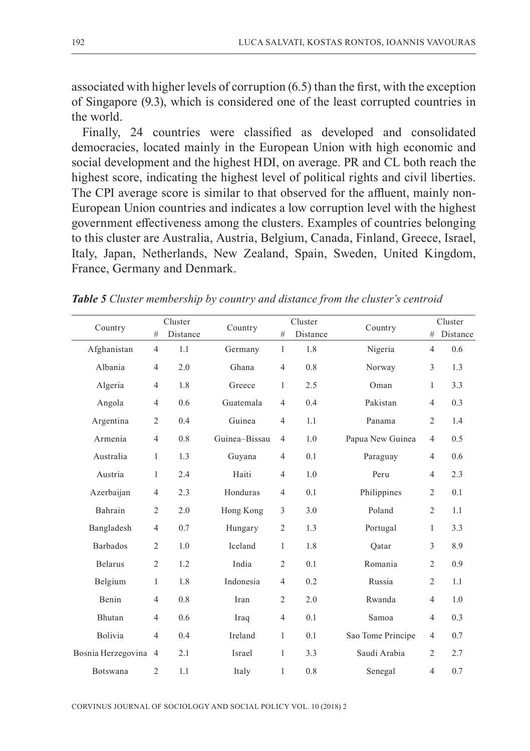associated with higher levels of corruption (6.5) than the first, with the exception of Singapore (9.3), which is considered one of the least corrupted countries in the world.

Finally, 24 countries were classified as developed and consolidated democracies, located mainly in the European Union with high economic and social development and the highest HDI, on average. PR and CL both reach the highest score, indicating the highest level of political rights and civil liberties. The CPI average score is similar to that observed for the affluent, mainly non-European Union countries and indicates a low corruption level with the highest government effectiveness among the clusters. Examples of countries belonging to this cluster are Australia, Austria, Belgium, Canada, Finland, Greece, Israel, Italy, Japan, Netherlands, New Zealand, Spain, Sweden, United Kingdom, France, Germany and Denmark.

|                      |                | Cluster  |               |                | Cluster  |                   | Cluster        |          |
|----------------------|----------------|----------|---------------|----------------|----------|-------------------|----------------|----------|
| Country              | #              | Distance | Country       | #              | Distance | Country           | #              | Distance |
| Afghanistan          | $\overline{4}$ | 1.1      | Germany       | $\mathbf{1}$   | 1.8      | Nigeria           | $\overline{4}$ | 0.6      |
| Albania              | $\overline{4}$ | 2.0      | Ghana         | $\overline{4}$ | 0.8      | Norway            | 3              | 1.3      |
| Algeria              | $\overline{4}$ | 1.8      | Greece        | $\mathbf{1}$   | 2.5      | Oman              | 1              | 3.3      |
| Angola               | $\overline{4}$ | 0.6      | Guatemala     | $\overline{4}$ | 0.4      | Pakistan          | $\overline{4}$ | 0.3      |
| Argentina            | 2              | 0.4      | Guinea        | 4              | 1.1      | Panama            | 2              | 1.4      |
| Armenia              | $\overline{4}$ | 0.8      | Guinea-Bissau | $\overline{4}$ | 1.0      | Papua New Guinea  | $\overline{4}$ | 0.5      |
| Australia            | $\mathbf{1}$   | 1.3      | Guyana        | 4              | 0.1      | Paraguay          | $\overline{4}$ | 0.6      |
| Austria              | 1              | 2.4      | Haiti         | $\overline{4}$ | 1.0      | Peru              | $\overline{4}$ | 2.3      |
| Azerbaijan           | $\overline{4}$ | 2.3      | Honduras      | 4              | 0.1      | Philippines       | 2              | 0.1      |
| Bahrain              | $\overline{c}$ | 2.0      | Hong Kong     | 3              | 3.0      | Poland            | $\overline{2}$ | 1.1      |
| Bangladesh           | $\overline{4}$ | 0.7      | Hungary       | $\overline{2}$ | 1.3      | Portugal          | 1              | 3.3      |
| <b>Barbados</b>      | $\overline{2}$ | 1.0      | Iceland       | $\mathbf{1}$   | 1.8      | Oatar             | 3              | 8.9      |
| <b>Belarus</b>       | $\overline{2}$ | 1.2      | India         | $\overline{2}$ | 0.1      | Romania           | $\overline{2}$ | 0.9      |
| Belgium              | $\mathbf{1}$   | 1.8      | Indonesia     | 4              | 0.2      | Russia            | 2              | 1.1      |
| Benin                | $\overline{4}$ | 0.8      | Iran          | $\overline{2}$ | 2.0      | Rwanda            | $\overline{4}$ | 1.0      |
| Bhutan               | $\overline{4}$ | 0.6      | Iraq          | 4              | 0.1      | Samoa             | $\overline{4}$ | 0.3      |
| Bolivia              | $\overline{4}$ | 0.4      | Ireland       | $\mathbf{1}$   | 0.1      | Sao Tome Principe | $\overline{4}$ | 0.7      |
| Bosnia Herzegovina 4 |                | 2.1      | Israel        | $\mathbf{1}$   | 3.3      | Saudi Arabia      | $\overline{2}$ | 2.7      |
| Botswana             | $\overline{2}$ | 1.1      | Italy         | 1              | 0.8      | Senegal           | $\overline{4}$ | 0.7      |

*Table 5 Cluster membership by country and distance from the cluster's centroid*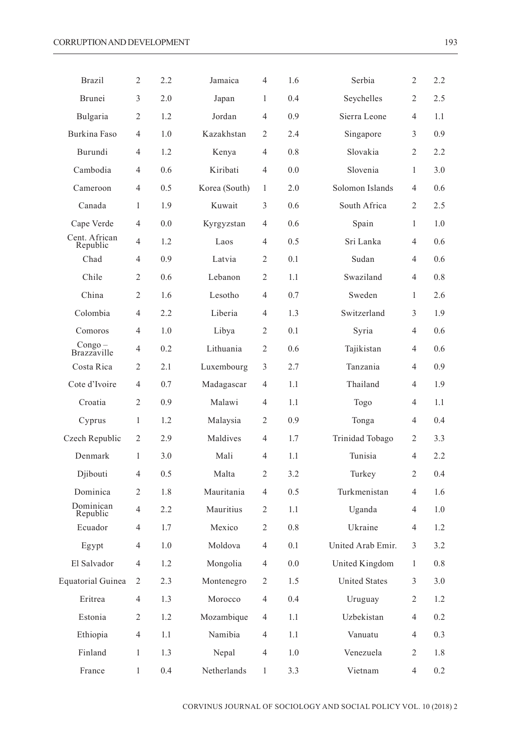| Brazil                    | $\overline{2}$ | 2.2 | Jamaica       | $\overline{4}$ | 1.6 | Serbia               | 2              | 2.2 |
|---------------------------|----------------|-----|---------------|----------------|-----|----------------------|----------------|-----|
| Brunei                    | 3              | 2.0 | Japan         | $\mathbf{1}$   | 0.4 | Seychelles           | $\overline{c}$ | 2.5 |
| Bulgaria                  | $\overline{2}$ | 1.2 | Jordan        | 4              | 0.9 | Sierra Leone         | 4              | 1.1 |
| Burkina Faso              | $\overline{4}$ | 1.0 | Kazakhstan    | $\overline{2}$ | 2.4 | Singapore            | 3              | 0.9 |
| Burundi                   | $\overline{4}$ | 1.2 | Kenya         | $\overline{4}$ | 0.8 | Slovakia             | 2              | 2.2 |
| Cambodia                  | $\overline{4}$ | 0.6 | Kiribati      | $\overline{4}$ | 0.0 | Slovenia             | 1              | 3.0 |
| Cameroon                  | $\overline{4}$ | 0.5 | Korea (South) | 1              | 2.0 | Solomon Islands      | 4              | 0.6 |
| Canada                    | 1              | 1.9 | Kuwait        | 3              | 0.6 | South Africa         | 2              | 2.5 |
| Cape Verde                | 4              | 0.0 | Kyrgyzstan    | 4              | 0.6 | Spain                | 1              | 1.0 |
| Cent. African<br>Republic | $\overline{4}$ | 1.2 | Laos          | 4              | 0.5 | Sri Lanka            | 4              | 0.6 |
| Chad                      | $\overline{4}$ | 0.9 | Latvia        | $\overline{2}$ | 0.1 | Sudan                | 4              | 0.6 |
| Chile                     | $\overline{2}$ | 0.6 | Lebanon       | $\overline{2}$ | 1.1 | Swaziland            | $\overline{4}$ | 0.8 |
| China                     | $\overline{2}$ | 1.6 | Lesotho       | $\overline{4}$ | 0.7 | Sweden               | 1              | 2.6 |
| Colombia                  | $\overline{4}$ | 2.2 | Liberia       | 4              | 1.3 | Switzerland          | 3              | 1.9 |
| Comoros                   | $\overline{4}$ | 1.0 | Libya         | $\overline{2}$ | 0.1 | Syria                | 4              | 0.6 |
| Congo –<br>Brazzaville    | $\overline{4}$ | 0.2 | Lithuania     | $\overline{c}$ | 0.6 | Tajikistan           | 4              | 0.6 |
| Costa Rica                | $\overline{2}$ | 2.1 | Luxembourg    | 3              | 2.7 | Tanzania             | 4              | 0.9 |
| Cote d'Ivoire             | $\overline{4}$ | 0.7 | Madagascar    | 4              | 1.1 | Thailand             | 4              | 1.9 |
| Croatia                   | $\overline{2}$ | 0.9 | Malawi        | 4              | 1.1 | Togo                 | 4              | 1.1 |
| Cyprus                    | 1              | 1.2 | Malaysia      | $\overline{2}$ | 0.9 | Tonga                | 4              | 0.4 |
| Czech Republic            | $\overline{2}$ | 2.9 | Maldives      | $\overline{4}$ | 1.7 | Trinidad Tobago      | 2              | 3.3 |
| Denmark                   | 1              | 3.0 | Mali          | 4              | 1.1 | Tunisia              | 4              | 2.2 |
| Djibouti                  | $\overline{4}$ | 0.5 | Malta         | $\overline{2}$ | 3.2 | Turkey               | 2              | 0.4 |
| Dominica                  | 2              | 1.8 | Mauritania    | $\overline{4}$ | 0.5 | Turkmenistan         | 4              | 1.6 |
| Dominican<br>Republic     | $\overline{4}$ | 2.2 | Mauritius     | $\overline{c}$ | 1.1 | Uganda               | 4              | 1.0 |
| Ecuador                   | 4              | 1.7 | Mexico        | $\overline{2}$ | 0.8 | Ukraine              | 4              | 1.2 |
| Egypt                     | $\overline{4}$ | 1.0 | Moldova       | 4              | 0.1 | United Arab Emir.    | 3              | 3.2 |
| El Salvador               | $\overline{4}$ | 1.2 | Mongolia      | 4              | 0.0 | United Kingdom       | 1              | 0.8 |
| Equatorial Guinea         | $\overline{2}$ | 2.3 | Montenegro    | $\overline{2}$ | 1.5 | <b>United States</b> | 3              | 3.0 |
| Eritrea                   | $\overline{4}$ | 1.3 | Morocco       | $\overline{4}$ | 0.4 | Uruguay              | 2              | 1.2 |
| Estonia                   | $\overline{2}$ | 1.2 | Mozambique    | $\overline{4}$ | 1.1 | Uzbekistan           | 4              | 0.2 |
| Ethiopia                  | $\overline{4}$ | 1.1 | Namibia       | 4              | 1.1 | Vanuatu              | 4              | 0.3 |
| Finland                   | $\mathbf{1}$   | 1.3 | Nepal         | 4              | 1.0 | Venezuela            | $\overline{c}$ | 1.8 |
| France                    | 1              | 0.4 | Netherlands   | 1              | 3.3 | Vietnam              | $\overline{4}$ | 0.2 |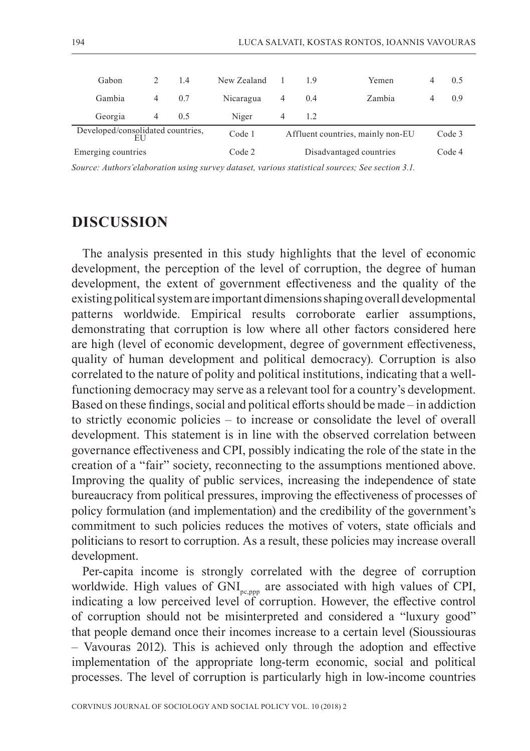| Gabon              | $\mathcal{D}$                               | 1.4 | New Zealand |                         | 19  | Yemen                             |  | 0.5    |
|--------------------|---------------------------------------------|-----|-------------|-------------------------|-----|-----------------------------------|--|--------|
| Gambia             | 4                                           | 0.7 | Nicaragua   | 4                       | 0.4 | Zambia                            |  | 0.9    |
| Georgia            | 4                                           | 0.5 | Niger       | 4                       | 1.2 |                                   |  |        |
|                    | Developed/consolidated countries,<br>Code 1 |     |             |                         |     | Affluent countries, mainly non-EU |  | Code 3 |
| Emerging countries |                                             |     | Code 2      | Disadvantaged countries |     |                                   |  | Code 4 |

*Source: Authors'elaboration using survey dataset, various statistical sources; See section 3.1.*

# **DISCUSSION**

The analysis presented in this study highlights that the level of economic development, the perception of the level of corruption, the degree of human development, the extent of government effectiveness and the quality of the existing political system are important dimensions shaping overall developmental patterns worldwide. Empirical results corroborate earlier assumptions, demonstrating that corruption is low where all other factors considered here are high (level of economic development, degree of government effectiveness, quality of human development and political democracy). Corruption is also correlated to the nature of polity and political institutions, indicating that a wellfunctioning democracy may serve as a relevant tool for a country's development. Based on these findings, social and political efforts should be made – in addiction to strictly economic policies – to increase or consolidate the level of overall development. This statement is in line with the observed correlation between governance effectiveness and CPI, possibly indicating the role of the state in the creation of a "fair" society, reconnecting to the assumptions mentioned above. Improving the quality of public services, increasing the independence of state bureaucracy from political pressures, improving the effectiveness of processes of policy formulation (and implementation) and the credibility of the government's commitment to such policies reduces the motives of voters, state officials and politicians to resort to corruption. As a result, these policies may increase overall development.

Per-capita income is strongly correlated with the degree of corruption worldwide. High values of GNI<sub>pc,ppp</sub> are associated with high values of CPI, indicating a low perceived level of corruption. However, the effective control of corruption should not be misinterpreted and considered a "luxury good" that people demand once their incomes increase to a certain level (Sioussiouras – Vavouras 2012). This is achieved only through the adoption and effective implementation of the appropriate long-term economic, social and political processes. The level of corruption is particularly high in low-income countries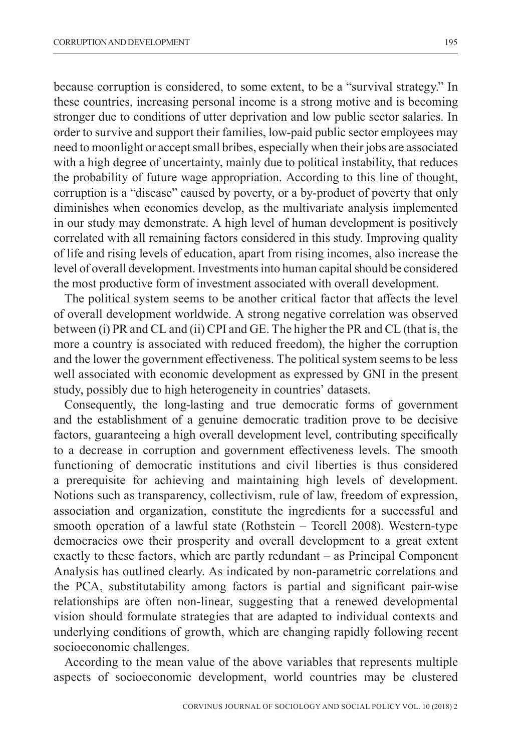because corruption is considered, to some extent, to be a "survival strategy." In these countries, increasing personal income is a strong motive and is becoming stronger due to conditions of utter deprivation and low public sector salaries. In order to survive and support their families, low-paid public sector employees may need to moonlight or accept small bribes, especially when their jobs are associated with a high degree of uncertainty, mainly due to political instability, that reduces the probability of future wage appropriation. According to this line of thought, corruption is a "disease" caused by poverty, or a by-product of poverty that only diminishes when economies develop, as the multivariate analysis implemented in our study may demonstrate. A high level of human development is positively correlated with all remaining factors considered in this study. Improving quality of life and rising levels of education, apart from rising incomes, also increase the level of overall development. Investments into human capital should be considered the most productive form of investment associated with overall development.

The political system seems to be another critical factor that affects the level of overall development worldwide. A strong negative correlation was observed between (i) PR and CL and (ii) CPI and GE. The higher the PR and CL (that is, the more a country is associated with reduced freedom), the higher the corruption and the lower the government effectiveness. The political system seems to be less well associated with economic development as expressed by GNI in the present study, possibly due to high heterogeneity in countries' datasets.

Consequently, the long-lasting and true democratic forms of government and the establishment of a genuine democratic tradition prove to be decisive factors, guaranteeing a high overall development level, contributing specifically to a decrease in corruption and government effectiveness levels. The smooth functioning of democratic institutions and civil liberties is thus considered a prerequisite for achieving and maintaining high levels of development. Notions such as transparency, collectivism, rule of law, freedom of expression, association and organization, constitute the ingredients for a successful and smooth operation of a lawful state (Rothstein – Teorell 2008). Western-type democracies owe their prosperity and overall development to a great extent exactly to these factors, which are partly redundant – as Principal Component Analysis has outlined clearly. As indicated by non-parametric correlations and the PCA, substitutability among factors is partial and significant pair-wise relationships are often non-linear, suggesting that a renewed developmental vision should formulate strategies that are adapted to individual contexts and underlying conditions of growth, which are changing rapidly following recent socioeconomic challenges.

According to the mean value of the above variables that represents multiple aspects of socioeconomic development, world countries may be clustered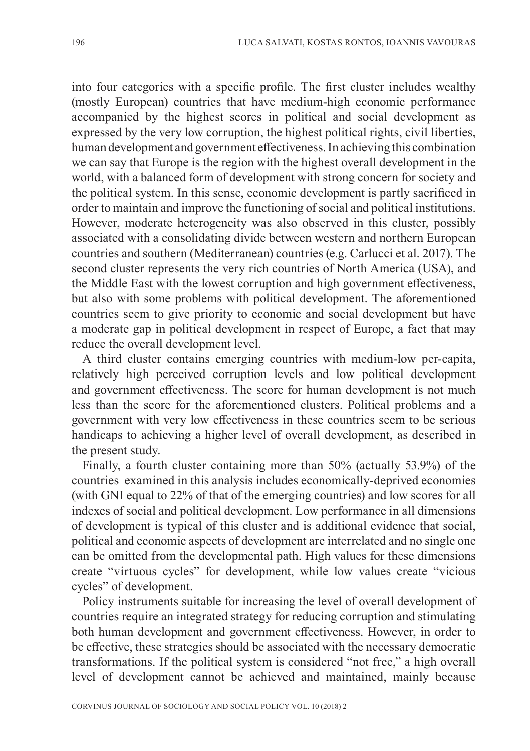into four categories with a specific profile. The first cluster includes wealthy (mostly European) countries that have medium-high economic performance accompanied by the highest scores in political and social development as expressed by the very low corruption, the highest political rights, civil liberties, human development and government effectiveness. In achieving this combination we can say that Europe is the region with the highest overall development in the world, with a balanced form of development with strong concern for society and the political system. In this sense, economic development is partly sacrificed in order to maintain and improve the functioning of social and political institutions. However, moderate heterogeneity was also observed in this cluster, possibly associated with a consolidating divide between western and northern European countries and southern (Mediterranean) countries (e.g. Carlucci et al. 2017). The second cluster represents the very rich countries of North America (USA), and the Middle East with the lowest corruption and high government effectiveness, but also with some problems with political development. The aforementioned countries seem to give priority to economic and social development but have a moderate gap in political development in respect of Europe, a fact that may reduce the overall development level.

A third cluster contains emerging countries with medium-low per-capita, relatively high perceived corruption levels and low political development and government effectiveness. The score for human development is not much less than the score for the aforementioned clusters. Political problems and a government with very low effectiveness in these countries seem to be serious handicaps to achieving a higher level of overall development, as described in the present study.

Finally, a fourth cluster containing more than 50% (actually 53.9%) of the countries examined in this analysis includes economically-deprived economies (with GNI equal to 22% of that of the emerging countries) and low scores for all indexes of social and political development. Low performance in all dimensions of development is typical of this cluster and is additional evidence that social, political and economic aspects of development are interrelated and no single one can be omitted from the developmental path. High values for these dimensions create "virtuous cycles" for development, while low values create "vicious cycles" of development.

Policy instruments suitable for increasing the level of overall development of countries require an integrated strategy for reducing corruption and stimulating both human development and government effectiveness. However, in order to be effective, these strategies should be associated with the necessary democratic transformations. If the political system is considered "not free," a high overall level of development cannot be achieved and maintained, mainly because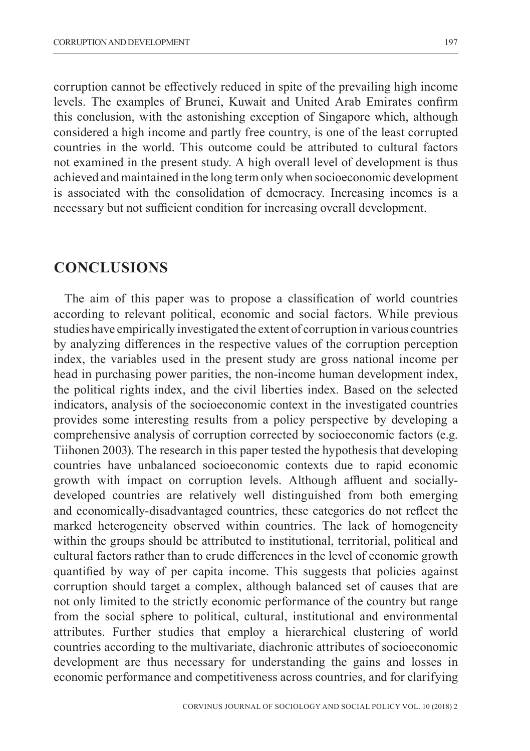corruption cannot be effectively reduced in spite of the prevailing high income levels. The examples of Brunei, Kuwait and United Arab Emirates confirm this conclusion, with the astonishing exception of Singapore which, although considered a high income and partly free country, is one of the least corrupted countries in the world. This outcome could be attributed to cultural factors not examined in the present study. A high overall level of development is thus achieved and maintained in the long term only when socioeconomic development is associated with the consolidation of democracy. Increasing incomes is a necessary but not sufficient condition for increasing overall development.

### **CONCLUSIONS**

The aim of this paper was to propose a classification of world countries according to relevant political, economic and social factors. While previous studies have empirically investigated the extent of corruption in various countries by analyzing differences in the respective values of the corruption perception index, the variables used in the present study are gross national income per head in purchasing power parities, the non-income human development index, the political rights index, and the civil liberties index. Based on the selected indicators, analysis of the socioeconomic context in the investigated countries provides some interesting results from a policy perspective by developing a comprehensive analysis of corruption corrected by socioeconomic factors (e.g. Tiihonen 2003). The research in this paper tested the hypothesis that developing countries have unbalanced socioeconomic contexts due to rapid economic growth with impact on corruption levels. Although affluent and sociallydeveloped countries are relatively well distinguished from both emerging and economically-disadvantaged countries, these categories do not reflect the marked heterogeneity observed within countries. The lack of homogeneity within the groups should be attributed to institutional, territorial, political and cultural factors rather than to crude differences in the level of economic growth quantified by way of per capita income. This suggests that policies against corruption should target a complex, although balanced set of causes that are not only limited to the strictly economic performance of the country but range from the social sphere to political, cultural, institutional and environmental attributes. Further studies that employ a hierarchical clustering of world countries according to the multivariate, diachronic attributes of socioeconomic development are thus necessary for understanding the gains and losses in economic performance and competitiveness across countries, and for clarifying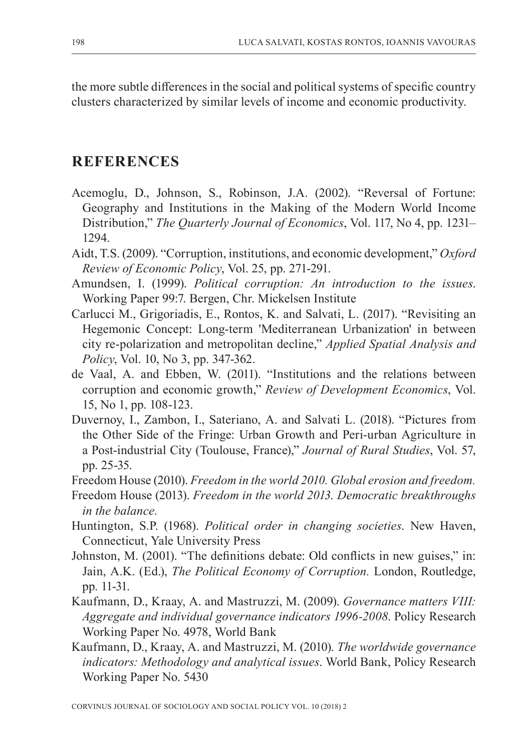the more subtle differences in the social and political systems of specific country clusters characterized by similar levels of income and economic productivity.

# **REFERENCES**

- Acemoglu, D., Johnson, S., Robinson, J.A. (2002). "Reversal of Fortune: Geography and Institutions in the Making of the Modern World Income Distribution," *The Quarterly Journal of Economics*, Vol. 117, No 4, pp. 1231– 1294.
- Aidt, T.S. (2009). "Corruption, institutions, and economic development," *Oxford Review of Economic Policy*, Vol. 25, pp. 271-291.
- Amundsen, I. (1999). *Political corruption: An introduction to the issues*. Working Paper 99:7. Bergen, Chr. Mickelsen Institute
- Carlucci M., Grigoriadis, E., Rontos, K. and Salvati, L. (2017). "Revisiting an Hegemonic Concept: Long-term 'Mediterranean Urbanization' in between city re-polarization and metropolitan decline," *Applied Spatial Analysis and Policy*, Vol. 10, No 3, pp. 347-362.
- de Vaal, A. and Ebben, W. (2011). "Institutions and the relations between corruption and economic growth," *Review of Development Economics*, Vol. 15, No 1, pp. 108-123.
- Duvernoy, I., Zambon, I., Sateriano, A. and Salvati L. (2018). "Pictures from the Other Side of the Fringe: Urban Growth and Peri-urban Agriculture in a Post-industrial City (Toulouse, France)," *Journal of Rural Studies*, Vol. 57, pp. 25-35.
- Freedom House (2010). *Freedom in the world 2010. Global erosion and freedom.*
- Freedom House (2013). *Freedom in the world 2013. Democratic breakthroughs in the balance.*
- Huntington, S.P. (1968). *Political order in changing societies*. New Haven, Connecticut, Yale University Press
- Johnston, M. (2001). "The definitions debate: Old conflicts in new guises," in: Jain, A.K. (Ed.), *The Political Economy of Corruption.* London, Routledge, pp. 11-31.
- Kaufmann, D., Kraay, A. and Mastruzzi, M. (2009). *Governance matters VIII: Aggregate and individual governance indicators 1996-2008*. Policy Research Working Paper No. 4978, World Bank
- Kaufmann, D., Kraay, A. and Mastruzzi, M. (2010). *The worldwide governance indicators: Methodology and analytical issues*. World Bank, Policy Research Working Paper No. 5430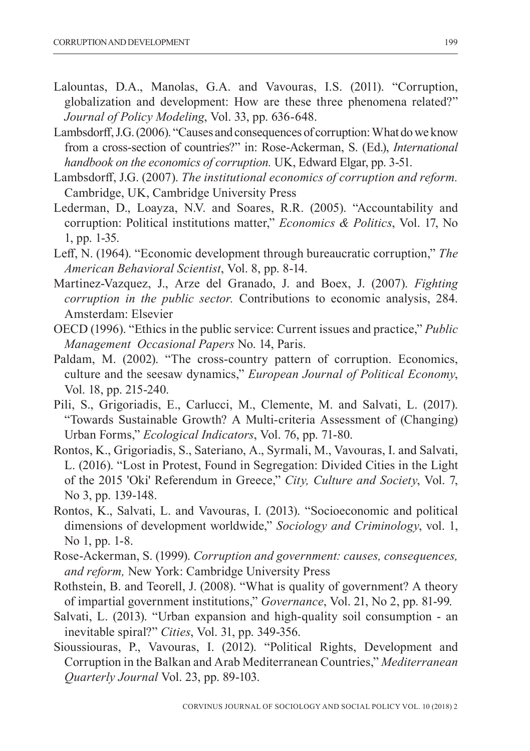- Lalountas, D.A., Manolas, G.A. and Vavouras, I.S. (2011). "Corruption, globalization and development: How are these three phenomena related?" *Journal of Policy Modeling*, Vol. 33, pp. 636-648.
- Lambsdorff, J.G. (2006). "Causes and consequences of corruption: What do we know from a cross-section of countries?" in: Rose-Ackerman, S. (Ed.), *International handbook on the economics of corruption.* UK, Edward Elgar, pp. 3-51.
- Lambsdorff, J.G. (2007). *The institutional economics of corruption and reform.* Cambridge, UK, Cambridge University Press
- Lederman, D., Loayza, N.V. and Soares, R.R. (2005). "Accountability and corruption: Political institutions matter," *Economics & Politics*, Vol. 17, No 1, pp. 1-35.
- Leff, N. (1964). "Economic development through bureaucratic corruption," *The American Behavioral Scientist*, Vol. 8, pp. 8-14.
- Martinez-Vazquez, J., Arze del Granado, J. and Boex, J. (2007). *Fighting corruption in the public sector.* Contributions to economic analysis, 284. Amsterdam: Elsevier
- OECD (1996). "Ethics in the public service: Current issues and practice," *Public Management Occasional Papers* No. 14, Paris.
- Paldam, M. (2002). "The cross-country pattern of corruption. Economics, culture and the seesaw dynamics," *European Journal of Political Economy*, Vol. 18, pp. 215-240.
- Pili, S., Grigoriadis, E., Carlucci, M., Clemente, M. and Salvati, L. (2017). "Towards Sustainable Growth? A Multi-criteria Assessment of (Changing) Urban Forms," *Ecological Indicators*, Vol. 76, pp. 71-80.
- Rontos, K., Grigoriadis, S., Sateriano, A., Syrmali, M., Vavouras, I. and Salvati, L. (2016). "Lost in Protest, Found in Segregation: Divided Cities in the Light of the 2015 'Oki' Referendum in Greece," *City, Culture and Society*, Vol. 7, No 3, pp. 139-148.
- Rontos, K., Salvati, L. and Vavouras, I. (2013). "Socioeconomic and political dimensions of development worldwide," *Sociology and Criminology*, vol. 1, No 1, pp. 1-8.
- Rose-Ackerman, S. (1999). *Corruption and government: causes, consequences, and reform,* New York: Cambridge University Press
- Rothstein, B. and Teorell, J. (2008). "What is quality of government? A theory of impartial government institutions," *Governance*, Vol. 21, No 2, pp. 81-99.
- Salvati, L. (2013). "Urban expansion and high-quality soil consumption an inevitable spiral?" *Cities*, Vol. 31, pp. 349-356.
- Sioussiouras, P., Vavouras, I. (2012). "Political Rights, Development and Corruption in the Balkan and Arab Mediterranean Countries," *Mediterranean Quarterly Journal* Vol. 23, pp. 89-103.